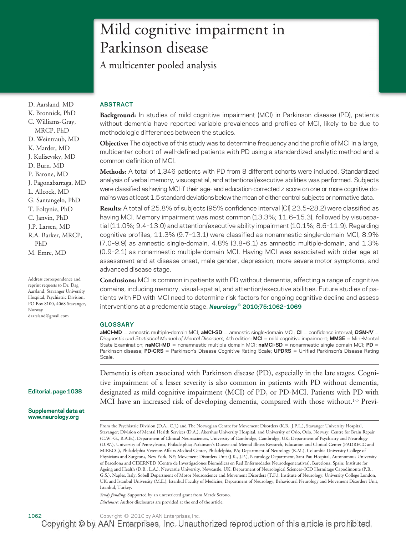# Mild cognitive impairment in Parkinson disease

A multicenter pooled analysis

D. Aarsland, MD K. Bronnick, PhD C. Williams-Gray, MRCP, PhD D. Weintraub, MD K. Marder, MD J. Kulisevsky, MD D. Burn, MD P. Barone, MD J. Pagonabarraga, MD L. Allcock, MD G. Santangelo, PhD T. Foltynie, PhD C. Janvin, PhD J.P. Larsen, MD R.A. Barker, MRCP, PhD M. Emre, MD

Address correspondence and reprint requests to Dr. Dag Aarsland, Stavanger University Hospital, Psychiatric Division, PO Box 8100, 4068 Stavanger, Norway daarsland@gmail.com

# **Editorial, page 1038**

**Supplemental data at www.neurology.org**

# **ABSTRACT**

**Background:** In studies of mild cognitive impairment (MCI) in Parkinson disease (PD), patients without dementia have reported variable prevalences and profiles of MCI, likely to be due to methodologic differences between the studies.

**Objective:** The objective of this study was to determine frequency and the profile of MCI in a large, multicenter cohort of well-defined patients with PD using a standardized analytic method and a common definition of MCI.

**Methods:** A total of 1,346 patients with PD from 8 different cohorts were included. Standardized analysis of verbal memory, visuospatial, and attentional/executive abilities was performed. Subjects were classified as having MCI if their age- and education-corrected *z* score on one or more cognitive domains was at least 1.5 standard deviations below the mean of either control subjects or normative data.

**Results:** A total of 25.8% of subjects (95% confidence interval [CI] 23.5–28.2) were classified as having MCI. Memory impairment was most common (13.3%; 11.6–15.3), followed by visuospatial (11.0%; 9.4–13.0) and attention/executive ability impairment (10.1%; 8.6–11.9). Regarding cognitive profiles, 11.3% (9.7–13.1) were classified as nonamnestic single-domain MCI, 8.9% (7.0–9.9) as amnestic single-domain, 4.8% (3.8–6.1) as amnestic multiple-domain, and 1.3% (0.9–2.1) as nonamnestic multiple-domain MCI. Having MCI was associated with older age at assessment and at disease onset, male gender, depression, more severe motor symptoms, and advanced disease stage.

**Conclusions:** MCI is common in patients with PD without dementia, affecting a range of cognitive domains, including memory, visual-spatial, and attention/executive abilities. Future studies of patients with PD with MCI need to determine risk factors for ongoing cognitive decline and assess interventions at a predementia stage. *Neurology*® **2010;75:1062–1069**

# **GLOSSARY**

**aMCI-MD** = amnestic multiple-domain MCI; **aMCI-SD** = amnestic single-domain MCI; CI = confidence interval; *DSM-IV* = *Diagnostic and Statistical Manual of Mental Disorders,* 4th edition; **MCI** mild cognitive impairment; **MMSE** Mini-Mental State Examination; **naMCI-MD** = nonamnestic multiple-domain MCI; **naMCI-SD** = nonamnestic single-domain MCI; PD = Parkinson disease; PD-CRS = Parkinson's Disease Cognitive Rating Scale; UPDRS = Unified Parkinson's Disease Rating Scale.

Dementia is often associated with Parkinson disease (PD), especially in the late stages. Cognitive impairment of a lesser severity is also common in patients with PD without dementia, designated as mild cognitive impairment (MCI) of PD, or PD-MCI. Patients with PD with MCI have an increased risk of developing dementia, compared with those without.<sup>1-3</sup> Previ-

From the Psychiatric Division (D.A., C.J.) and The Norwegian Centre for Movement Disorders (K.B., J.P.L.), Stavanger University Hospital, Stavanger; Division of Mental Health Services (D.A.), Akershus University Hospital, and University of Oslo, Oslo, Norway; Centre for Brain Repair (C.W.-G., R.A.B.), Department of Clinical Neurosciences, University of Cambridge, Cambridge, UK; Department of Psychiatry and Neurology (D.W.), University of Pennsylvania, Philadelphia; Parkinson's Disease and Mental Illness Research, Education and Clinical Center (PADRECC and MIRECC), Philadelphia Veterans Affairs Medical Center, Philadelphia, PA; Department of Neurology (K.M.), Columbia University College of Physicians and Surgeons, New York, NY; Movement Disorders Unit (J.K., J.P.), Neurology Department, Sant Pau Hospital, Autonomous University of Barcelona and CIBERNED (Centro de Investigaciones Biomédicas en Red Enfermedades Neurodegenerativas), Barcelona, Spain; Institute for Ageing and Health (D.B., L.A.), Newcastle University, Newcastle, UK; Department of Neurological Sciences–ICD Hermitage Capodimonte (P.B., G.S.), Naples, Italy; Sobell Department of Motor Neuroscience and Movement Disorders (T.F.), Institute of Neurology, University College London, UK; and Istanbul University (M.E.), Istanbul Faculty of Medicine, Department of Neurology, Behavioural Neurology and Movement Disorders Unit, Istanbul, Turkey.

*Study funding:* Supported by an unrestricted grant from Merck Serono. *Disclosure:* Author disclosures are provided at the end of the article.

1062 Copyright © 2010 by AAN Enterprises, Inc.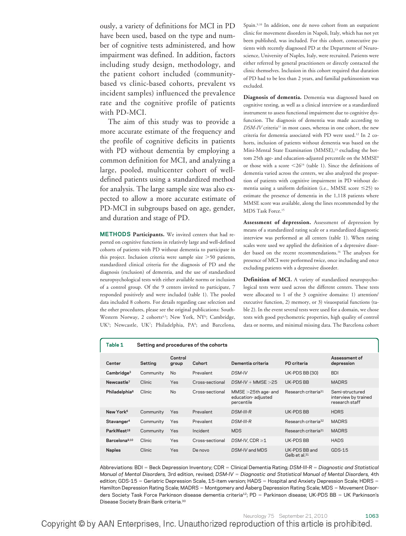ously, a variety of definitions for MCI in PD have been used, based on the type and number of cognitive tests administered, and how impairment was defined. In addition, factors including study design, methodology, and the patient cohort included (communitybased vs clinic-based cohorts, prevalent vs incident samples) influenced the prevalence rate and the cognitive profile of patients with PD-MCI.

The aim of this study was to provide a more accurate estimate of the frequency and the profile of cognitive deficits in patients with PD without dementia by employing a common definition for MCI, and analyzing a large, pooled, multicenter cohort of welldefined patients using a standardized method for analysis. The large sample size was also expected to allow a more accurate estimate of PD-MCI in subgroups based on age, gender, and duration and stage of PD.

**METHODS Participants.** We invited centers that had reported on cognitive functions in relatively large and well-defined cohorts of patients with PD without dementia to participate in this project. Inclusion criteria were sample size >50 patients, standardized clinical criteria for the diagnosis of PD and the diagnosis (exclusion) of dementia, and the use of standardized neuropsychological tests with either available norms or inclusion of a control group. Of the 9 centers invited to participate, 7 responded positively and were included (table 1). The pooled data included 8 cohorts. For details regarding case selection and the other procedures, please see the original publications: South-Western Norway, 2 cohorts<sup>4,5</sup>; New York, NY<sup>6</sup>; Cambridge, UK<sup>3</sup>; Newcastle, UK7; Philadelphia, PA<sup>8</sup>; and Barcelona,

Spain.9,10 In addition, one de novo cohort from an outpatient clinic for movement disorders in Napoli, Italy, which has not yet been published, was included. For this cohort, consecutive patients with recently diagnosed PD at the Department of Neuroscience, University of Naples, Italy, were recruited. Patients were either referred by general practitioners or directly contacted the clinic themselves. Inclusion in this cohort required that duration of PD had to be less than 2 years, and familial parkinsonism was excluded.

**Diagnosis of dementia.** Dementia was diagnosed based on cognitive testing, as well as a clinical interview or a standardized instrument to assess functional impairment due to cognitive dysfunction. The diagnosis of dementia was made according to *DSM-IV* criteria11 in most cases, whereas in one cohort, the new criteria for dementia associated with PD were used.12 In 2 cohorts, inclusion of patients without dementia was based on the Mini-Mental State Examination (MMSE),<sup>13</sup> excluding the bottom 25th age- and education-adjusted percentile on the MMSE<sup>8</sup> or those with a score  $\leq 26^{14}$  (table 1). Since the definitions of dementia varied across the centers, we also analyzed the proportion of patients with cognitive impairment in PD without dementia using a uniform definition (i.e., MMSE score 25) to estimate the presence of dementia in the 1,118 patients where MMSE score was available, along the lines recommended by the MDS Task Force.15

**Assessment of depression.** Assessment of depression by means of a standardized rating scale or a standardized diagnostic interview was performed at all centers (table 1). When rating scales were used we applied the definition of a depressive disorder based on the recent recommendations.16 The analyses for presence of MCI were performed twice, once including and once excluding patients with a depressive disorder.

**Definition of MCI.** A variety of standardized neuropsychological tests were used across the different centers. These tests were allocated to 1 of the 3 cognitive domains: 1) attention/ executive function, 2) memory, or 3) visuospatial functions (table 2). In the event several tests were used for a domain, we chose tests with good psychometric properties, high quality of control data or norms, and minimal missing data. The Barcelona cohort

| Table 1                   | Setting and procedures of the cohorts |                  |                 |                                                            |                                            |                                                           |
|---------------------------|---------------------------------------|------------------|-----------------|------------------------------------------------------------|--------------------------------------------|-----------------------------------------------------------|
| Center                    | Setting                               | Control<br>group | Cohort          | Dementia criteria                                          | <b>PD</b> criteria                         | Assessment of<br>depression                               |
| Cambridge <sup>3</sup>    | Community                             | No               | Prevalent       | DSM-IV                                                     | <b>UK-PDS BB (30)</b>                      | <b>BDI</b>                                                |
| Newcastle <sup>7</sup>    | Clinic                                | Yes              | Cross-sectional | $DSM-IV + MMSE > 25$                                       | <b>UK-PDS BB</b>                           | <b>MADRS</b>                                              |
| Philadelphia <sup>8</sup> | Clinic                                | No               | Cross-sectional | $MMSE > 25th$ age- and<br>education-adjusted<br>percentile | Research criteria <sup>31</sup>            | Semi-structured<br>interview by trained<br>research staff |
| New York <sup>6</sup>     | Community                             | Yes              | Prevalent       | DSM-III-R                                                  | UK-PDS BB                                  | <b>HDRS</b>                                               |
| Stavanger <sup>4</sup>    | Community                             | Yes              | Prevalent       | DSM-III-R                                                  | Research criteria <sup>32</sup>            | <b>MADRS</b>                                              |
| ParkWest <sup>18</sup>    | Community                             | Yes              | Incident        | <b>MDS</b>                                                 | Research criteria <sup>31</sup>            | <b>MADRS</b>                                              |
| Barcelona <sup>9,10</sup> | Clinic                                | Yes              | Cross-sectional | DSM-IV, CDR $\geq 1$                                       | UK-PDS BB                                  | <b>HADS</b>                                               |
| <b>Naples</b>             | Clinic                                | Yes              | De novo         | DSM-IV and MDS                                             | UK-PDS BB and<br>Gelb et al. <sup>31</sup> | $GDS-15$                                                  |

Abbreviations: BDI = Beck Depression Inventory; CDR = Clinical Dementia Rating; *DSM-III-R* = Diagnostic and Statistical *Manual of Mental Disorders,* 3rd edition, revised; *DSM-IV Diagnostic and Statistical Manual of Mental Disorders,* 4th edition; GDS-15 = Geriatric Depression Scale, 15-item version; HADS = Hospital and Anxiety Depression Scale; HDRS = Hamilton Depression Rating Scale; MADRS = Montgomery and Åsberg Depression Rating Scale; MDS = Movement Disorders Society Task Force Parkinson disease dementia criteria<sup>12</sup>; PD = Parkinson disease; UK-PDS BB = UK Parkinson's Disease Society Brain Bank criteria.30

Neurology 75 September 21, 2010 1063 Copyright © by AAN Enterprises, Inc. Unauthorized reproduction of this article is prohibited.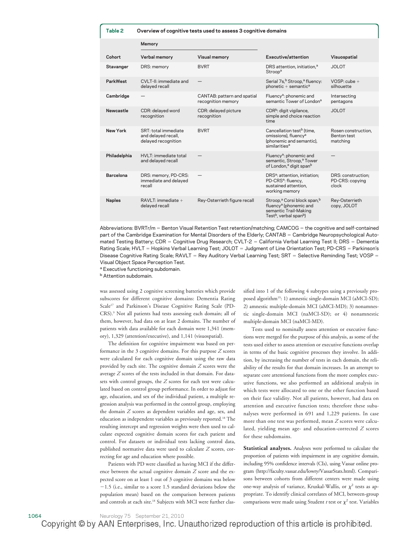| Table 2          | Overview of cognitive tests used to assess 3 cognitive domains     |                                                   |                                                                                                                                                                      |                                                |  |  |
|------------------|--------------------------------------------------------------------|---------------------------------------------------|----------------------------------------------------------------------------------------------------------------------------------------------------------------------|------------------------------------------------|--|--|
|                  | Memory                                                             |                                                   |                                                                                                                                                                      |                                                |  |  |
| Cohort           | Verbal memory                                                      | <b>Visual memory</b>                              | Executive/attention                                                                                                                                                  | Visuospatial                                   |  |  |
| Stavanger        | DRS: memory                                                        | <b>BVRT</b>                                       | DRS attention, initiation, <sup>a</sup><br>Stroop <sup>a</sup>                                                                                                       | <b>JOLOT</b>                                   |  |  |
| <b>ParkWest</b>  | CVLT-II: immediate and<br>delayed recall                           |                                                   | Serial 7s, <sup>b</sup> Stroop, <sup>a</sup> fluency:<br>phonetic $+$ semantic <sup>a</sup>                                                                          | $VOSP: cube +$<br>silhouette                   |  |  |
| Cambridge        |                                                                    | CANTAB: pattern and spatial<br>recognition memory | Fluency <sup>a</sup> : phonemic and<br>semantic Tower of London <sup>a</sup>                                                                                         | Intersecting<br>pentagons                      |  |  |
| <b>Newcastle</b> | CDR: delayed word<br>recognition                                   | CDR: delayed picture<br>recognition               | CDR <sup>b</sup> : digit vigilance,<br>simple and choice reaction<br>time                                                                                            | <b>JOLOT</b>                                   |  |  |
| New York         | SRT: total immediate<br>and delayed recall,<br>delayed recognition | <b>RVRT</b>                                       | Cancellation test <sup>b</sup> (time.<br>omissions), fluency <sup>a</sup><br>(phonemic and semantic),<br>similarities <sup>a</sup>                                   | Rosen construction.<br>Benton test<br>matching |  |  |
| Philadelphia     | HVLT: immediate total<br>and delayed recall                        |                                                   | Fluency <sup>a</sup> : phonemic and<br>semantic, Stroop, <sup>a</sup> Tower<br>of London. <sup>a</sup> digit span <sup>b</sup>                                       |                                                |  |  |
| Barcelona        | DRS: memory, PD-CRS:<br>immediate and delayed<br>recall            |                                                   | DRS <sup>a</sup> : attention, initiation;<br>PD-CRS <sup>a</sup> : fluency.<br>sustained attention.<br>working memory                                                | DRS: construction:<br>PD-CRS: copying<br>clock |  |  |
| <b>Naples</b>    | $RAVLT: immediate +$<br>delayed recall                             | Rey-Osterrieth figure recall                      | Stroop, <sup>a</sup> Corsi block span, <sup>b</sup><br>fluency <sup>a</sup> (phonemic and<br>semantic Trail-Making<br>Test <sup>b</sup> , verbal span <sup>b</sup> ) | Rey-Osterrieth<br>copy, JOLOT                  |  |  |

Abbreviations: BVRTr/m = Benton Visual Retention Test retention/matching; CAMCOG = the cognitive and self-contained part of the Cambridge Examination for Mental Disorders of the Elderly; CANTAB = Cambridge Neuropsychological Automated Testing Battery; CDR = Cognitive Drug Research; CVLT-2 = California Verbal Learning Test II; DRS = Dementia Rating Scale: HVLT = Hopkins Verbal Learning Test: JOLOT = Judgment of Line Orientation Test: PD-CRS = Parkinson's Disease Cognitive Rating Scale; RAVLT = Rey Auditory Verbal Learning Test; SRT = Selective Reminding Test; VOSP = Visual Object Space Perception Test.

<sup>a</sup> Executive functioning subdomain.

**b** Attention subdomain.

was assessed using 2 cognitive screening batteries which provide subscores for different cognitive domains: Dementia Rating Scale<sup>17</sup> and Parkinson's Disease Cognitive Rating Scale (PD-CRS).9 Not all patients had tests assessing each domain; all of them, however, had data on at least 2 domains. The number of patients with data available for each domain were 1,341 (memory), 1,329 (attention/executive), and 1,141 (visuospatial).

The definition for cognitive impairment was based on performance in the 3 cognitive domains. For this purpose *Z* scores were calculated for each cognitive domain using the raw data provided by each site. The cognitive domain *Z* scores were the average *Z* scores of the tests included in that domain. For datasets with control groups, the *Z* scores for each test were calculated based on control group performance. In order to adjust for age, education, and sex of the individual patient, a multiple regression analysis was performed in the control group, employing the domain *Z* scores as dependent variables and age, sex, and education as independent variables as previously reported.18 The resulting intercept and regression weights were then used to calculate expected cognitive domain scores for each patient and control. For datasets or individual tests lacking control data, published normative data were used to calculate *Z* scores, correcting for age and education where possible.

Patients with PD were classified as having MCI if the difference between the actual cognitive domain *Z* score and the expected score on at least 1 out of 3 cognitive domains was below  $-1.5$  (i.e., similar to a score 1.5 standard deviations below the population mean) based on the comparison between patients and controls at each site.18 Subjects with MCI were further clas-

sified into 1 of the following 4 subtypes using a previously proposed algorithm<sup>19</sup>: 1) amnestic single-domain MCI (aMCI-SD); 2) amnestic multiple-domain MCI (aMCI-MD); 3) nonamnestic single-domain MCI (naMCI-SD); or 4) nonamnestic multiple-domain MCI (naMCI-MD).

Tests used to nominally assess attention or executive functions were merged for the purpose of this analysis, as some of the tests used either to assess attention or executive functions overlap in terms of the basic cognitive processes they involve. In addition, by increasing the number of tests in each domain, the reliability of the results for that domain increases. In an attempt to separate core attentional functions from the more complex executive functions, we also performed an additional analysis in which tests were allocated to one or the other function based on their face validity. Not all patients, however, had data on attention and executive function tests; therefore these subanalyses were performed in 691 and 1,229 patients. In case more than one test was performed, mean *Z* scores were calculated, yielding mean age- and education-corrected *Z* scores for these subdomains.

**Statistical analyses.** Analyses were performed to calculate the proportion of patients with impairment in any cognitive domain, including 95% confidence intervals (CIs), using Vassar online program (http://faculty.vassar.edu/lowry/VassarStats.html). Comparisons between cohorts from different centers were made using one-way analysis of variance, Kruskal-Wallis, or  $\chi^2$  tests as appropriate. To identify clinical correlates of MCI, between-group comparisons were made using Student *t* test or  $\chi^2$  test. Variables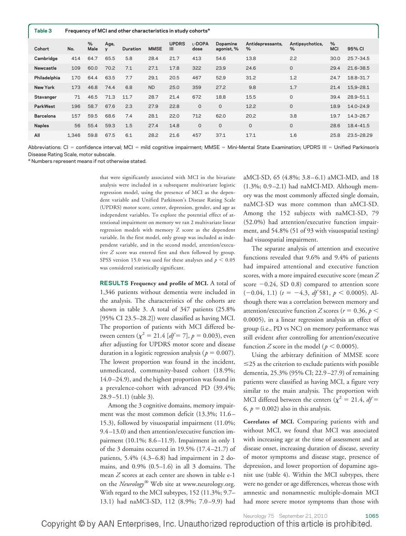**Table 3 Frequency of MCI and other characteristics in study cohorts<sup>a</sup>**

| Cohort           | No.   | %<br>Male | Age,<br>$\mathbf{v}$ | Duration | <b>MMSE</b> | <b>UPDRS</b><br>$\mathbf{III}$ | L-DOPA<br>dose | Dopamine<br>agonist, % | Antidepressants,<br>% | Antipsychotics,<br>% | %<br><b>MCI</b> | 95% CI        |
|------------------|-------|-----------|----------------------|----------|-------------|--------------------------------|----------------|------------------------|-----------------------|----------------------|-----------------|---------------|
| Cambridge        | 414   | 64.7      | 65.5                 | 5.8      | 28.4        | 21.7                           | 413            | 54.6                   | 13.8                  | 2.2                  | 30.0            | $25.7 - 34.5$ |
| <b>Newcastle</b> | 109   | 60.0      | 70.2                 | 7.1      | 27.1        | 17.8                           | 322            | 23.9                   | 24.6                  | $\mathsf{O}$         | 29.4            | 21.6-38.5     |
| Philadelphia     | 170   | 64.4      | 63.5                 | 7.7      | 29.1        | 20.5                           | 467            | 52.9                   | 31.2                  | 1.2                  | 24.7            | 18.8-31.7     |
| <b>New York</b>  | 173   | 46.8      | 74.4                 | 6.8      | <b>ND</b>   | 25.0                           | 359            | 27.2                   | 9.8                   | 1.7                  | 21.4            | 15,9-28.1     |
| Stavanger        | 71    | 46.5      | 71.3                 | 11.7     | 28.7        | 21.4                           | 672            | 18.8                   | 15.5                  | $\mathsf{O}$         | 39.4            | 28.9-51.1     |
| ParkWest         | 196   | 58.7      | 67.6                 | 2.3      | 27.9        | 22.8                           | $\mathsf{O}$   | $\Omega$               | 12.2                  | $\mathsf{O}$         | 18.9            | $14.0 - 24.9$ |
| <b>Barcelona</b> | 157   | 59.5      | 68.6                 | 7.4      | 28.1        | 22.0                           | 712            | 62.0                   | 20.2                  | 3.8                  | 19.7            | 14.3-26.7     |
| <b>Naples</b>    | 56    | 55.4      | 59.3                 | 1.5      | 27.4        | 14.8                           | $\circ$        | $\mathsf{O}$           | $\mathsf{O}$          | $\mathsf{O}$         | 28.6            | 18.4-41.5     |
| All              | 1.346 | 59.8      | 67.5                 | 6.1      | 28.2        | 21.6                           | 457            | 37.1                   | 17.1                  | 1.6                  | 25.8            | 23.5-28.29    |

Abbreviations: CI = confidence interval; MCI = mild cognitive impairment; MMSE = Mini-Mental State Examination; UPDRS III = Unified Parkinson's Disease Rating Scale, motor subscale.

<sup>a</sup> Numbers represent means if not otherwise stated.

that were significantly associated with MCI in the bivariate analysis were included in a subsequent multivariate logistic regression model, using the presence of MCI as the dependent variable and Unified Parkinson's Disease Rating Scale (UPDRS) motor score, center, depression, gender, and age as independent variables. To explore the potential effect of attentional impairment on memory we ran 2 multivariate linear regression models with memory Z score as the dependent variable. In the first model, only group was included as independent variable, and in the second model, attention/executive *Z* score was entered first and then followed by group. SPSS version 15.0 was used for these analyses and  $p < 0.05$ was considered statistically significant.

**RESULTS Frequency and profile of MCI.** A total of 1,346 patients without dementia were included in the analysis. The characteristics of the cohorts are shown in table 3. A total of 347 patients (25.8% [95% CI 23.5–28.2]) were classified as having MCI. The proportion of patients with MCI differed between centers  $(\chi^2 = 21.4 \, [d \, f = 7], p = 0.003)$ , even after adjusting for UPDRS motor score and disease duration in a logistic regression analysis ( $p = 0.007$ ). The lowest proportion was found in the incident, unmedicated, community-based cohort (18.9%; 14.0 –24.9), and the highest proportion was found in a prevalence-cohort with advanced PD (39.4%; 28.9 –51.1) (table 3).

Among the 3 cognitive domains, memory impairment was the most common deficit (13.3%; 11.6– 15.3), followed by visuospatial impairment (11.0%; 9.4 –13.0) and then attention/executive function impairment (10.1%; 8.6 –11.9). Impairment in only 1 of the 3 domains occurred in 19.5% (17.4 –21.7) of patients, 5.4% (4.3–6.8) had impairment in 2 domains, and 0.9% (0.5–1.6) in all 3 domains. The mean *Z* scores at each center are shown in table e-1 on the *Neurology®* Web site at www.neurology.org. With regard to the MCI subtypes, 152 (11.3%; 9.7– 13.1) had naMCI-SD, 112 (8.9%; 7.0 –9.9) had aMCI-SD, 65 (4.8%; 3.8 – 6.1) aMCI-MD, and 18  $(1.3\%; 0.9 - 2.1)$  had naMCI-MD. Although memory was the most commonly affected single domain, naMCI-SD was more common than aMCI-SD. Among the 152 subjects with naMCI-SD, 79 (52.0%) had attention/executive function impairment, and 54.8% (51 of 93 with visuospatial testing) had visuospatial impairment.

The separate analysis of attention and executive functions revealed that 9.6% and 9.4% of patients had impaired attentional and executive function scores, with a more impaired executive score (mean *Z* score  $-0.24$ , SD 0.8) compared to attention score  $(-0.04, 1.1)$   $(t = -4.3, df 581, p < 0.0005)$ . Although there was a correlation between memory and attention/executive function *Z* scores ( $r = 0.36$ ,  $p <$ 0.0005), in a linear regression analysis an effect of group (i.e., PD vs NC) on memory performance was still evident after controlling for attention/executive function *Z* score in the model ( $p < 0.0005$ ).

Using the arbitrary definition of MMSE score  $\leq$ 25 as the criterion to exclude patients with possible dementia, 25.3% (95% CI; 22.9 –27.9) of remaining patients were classified as having MCI, a figure very similar to the main analysis. The proportion with MCI differed between the centers ( $\chi^2 = 21.4$ , *df* = 6,  $p = 0.002$ ) also in this analysis.

**Correlates of MCI.** Comparing patients with and without MCI, we found that MCI was associated with increasing age at the time of assessment and at disease onset, increasing duration of disease, severity of motor symptoms and disease stage, presence of depression, and lower proportion of dopamine agonist use (table 4). Within the MCI subtypes, there were no gender or age differences, whereas those with amnestic and nonamnestic multiple-domain MCI had more severe motor symptoms than those with

Neurology 75 September 21, 2010 1065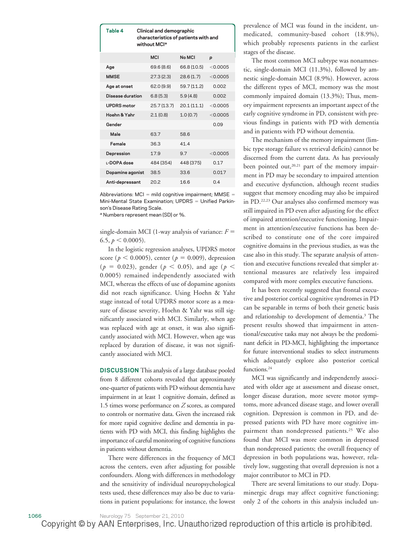| Table 4            | Clinical and demographic<br>characteristics of patients with and<br>without MCI <sup>a</sup> |             |          |  |
|--------------------|----------------------------------------------------------------------------------------------|-------------|----------|--|
|                    | <b>MCI</b>                                                                                   | No MCI      | p        |  |
| Age                | 69.6 (8.6)                                                                                   | 66.8 (10.5) | < 0.0005 |  |
| <b>MMSE</b>        | 27.3(2.3)                                                                                    | 28.6(1.7)   | < 0.0005 |  |
| Age at onset       | 62.0(9.9)                                                                                    | 59.7 (11.2) | 0.002    |  |
| Disease duration   | 6.8(5.3)                                                                                     | 5.9(4.8)    | 0.002    |  |
| <b>UPDRS</b> motor | 25.7 (13.7)                                                                                  | 20.1(11.1)  | < 0.0005 |  |
| Hoehn & Yahr       | 2.1(0.8)                                                                                     | 1.0(0.7)    | < 0.0005 |  |
| Gender             |                                                                                              |             | 0.09     |  |
| Male               | 63.7                                                                                         | 58.6        |          |  |
| Female             | 363                                                                                          | 414         |          |  |
| Depression         | 17.9                                                                                         | 9.7         | < 0.0005 |  |
| L-DOPA dose        | 484 (354)                                                                                    | 448 (375)   | 0.17     |  |
| Dopamine agonist   | 38.5                                                                                         | 33.6        | 0.017    |  |
| Anti-depressant    | 202                                                                                          | 16.6        | 04       |  |

Abbreviations:  $MCI = mild cognitive impairment; MMSE =$ Mini-Mental State Examination; UPDRS = Unified Parkinson's Disease Rating Scale.

<sup>a</sup> Numbers represent mean (SD) or %.

single-domain MCI (1-way analysis of variance:  $F =$ 6.5,  $p < 0.0005$ ).

In the logistic regression analyses, UPDRS motor score ( $p < 0.0005$ ), center ( $p = 0.009$ ), depression  $(p = 0.023)$ , gender  $(p < 0.05)$ , and age  $(p <$ 0.0005) remained independently associated with MCI, whereas the effects of use of dopamine agonists did not reach significance. Using Hoehn & Yahr stage instead of total UPDRS motor score as a measure of disease severity, Hoehn & Yahr was still significantly associated with MCI. Similarly, when age was replaced with age at onset, it was also significantly associated with MCI. However, when age was replaced by duration of disease, it was not significantly associated with MCI.

**DISCUSSION** This analysis of a large database pooled from 8 different cohorts revealed that approximately one-quarter of patients with PD without dementia have impairment in at least 1 cognitive domain, defined as 1.5 times worse performance on *Z* scores, as compared to controls or normative data. Given the increased risk for more rapid cognitive decline and dementia in patients with PD with MCI, this finding highlights the importance of careful monitoring of cognitive functions in patients without dementia.

There were differences in the frequency of MCI across the centers, even after adjusting for possible confounders. Along with differences in methodology and the sensitivity of individual neuropsychological tests used, these differences may also be due to variations in patient populations: for instance, the lowest prevalence of MCI was found in the incident, unmedicated, community-based cohort (18.9%), which probably represents patients in the earliest stages of the disease.

The most common MCI subtype was nonamnestic, single-domain MCI (11.3%), followed by amnestic single-domain MCI (8.9%). However, across the different types of MCI, memory was the most commonly impaired domain (13.3%); Thus, memory impairment represents an important aspect of the early cognitive syndrome in PD, consistent with previous findings in patients with PD with dementia and in patients with PD without dementia.

The mechanism of the memory impairment (limbic type storage failure vs retrieval deficits) cannot be discerned from the current data. As has previously been pointed out, $20,21$  part of the memory impairment in PD may be secondary to impaired attention and executive dysfunction, although recent studies suggest that memory encoding may also be impaired in PD.22,23 Our analyses also confirmed memory was still impaired in PD even after adjusting for the effect of impaired attention/executive functioning. Impairment in attention/executive functions has been described to constitute one of the core impaired cognitive domains in the previous studies, as was the case also in this study. The separate analysis of attention and executive functions revealed that simpler attentional measures are relatively less impaired compared with more complex executive functions.

It has been recently suggested that frontal executive and posterior cortical cognitive syndromes in PD can be separable in terms of both their genetic basis and relationship to development of dementia.3 The present results showed that impairment in attentional/executive tasks may not always be the predominant deficit in PD-MCI, highlighting the importance for future interventional studies to select instruments which adequately explore also posterior cortical functions.<sup>24</sup>

MCI was significantly and independently associated with older age at assessment and disease onset, longer disease duration, more severe motor symptoms, more advanced disease stage, and lower overall cognition. Depression is common in PD, and depressed patients with PD have more cognitive impairment than nondepressed patients.25 We also found that MCI was more common in depressed than nondepressed patients; the overall frequency of depression in both populations was, however, relatively low, suggesting that overall depression is not a major contributor to MCI in PD.

There are several limitations to our study. Dopaminergic drugs may affect cognitive functioning; only 2 of the cohorts in this analysis included un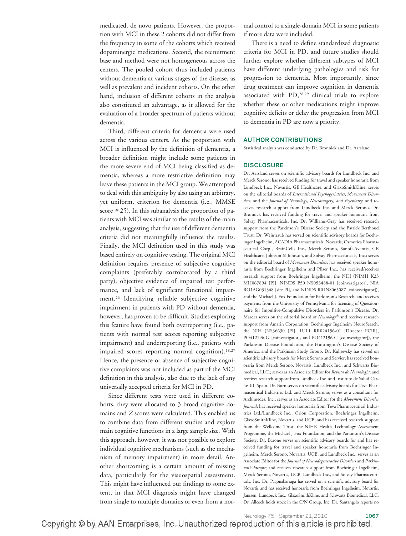medicated, de novo patients. However, the proportion with MCI in these 2 cohorts did not differ from the frequency in some of the cohorts which received dopaminergic medications. Second, the recruitment base and method were not homogeneous across the centers. The pooled cohort thus included patients without dementia at various stages of the disease, as well as prevalent and incident cohorts. On the other hand, inclusion of different cohorts in the analysis also constituted an advantage, as it allowed for the evaluation of a broader spectrum of patients without dementia.

Third, different criteria for dementia were used across the various centers. As the proportion with MCI is influenced by the definition of dementia, a broader definition might include some patients in the more severe end of MCI being classified as dementia, whereas a more restrictive definition may leave these patients in the MCI group. We attempted to deal with this ambiguity by also using an arbitrary, yet uniform, criterion for dementia (i.e., MMSE score  $\leq$ 25). In this subanalysis the proportion of patients with MCI was similar to the results of the main analysis, suggesting that the use of different dementia criteria did not meaningfully influence the results. Finally, the MCI definition used in this study was based entirely on cognitive testing. The original MCI definition requires presence of subjective cognitive complaints (preferably corroborated by a third party), objective evidence of impaired test performance, and lack of significant functional impairment.26 Identifying reliable subjective cognitive impairment in patients with PD without dementia, however, has proven to be difficult. Studies exploring this feature have found both overreporting (i.e., patients with normal test scores reporting subjective impairment) and underreporting (i.e., patients with impaired scores reporting normal cognition).<sup>18,27</sup> Hence, the presence or absence of subjective cognitive complaints was not included as part of the MCI definition in this analysis, also due to the lack of any universally accepted criteria for MCI in PD.

Since different tests were used in different cohorts, they were allocated to 3 broad cognitive domains and *Z* scores were calculated. This enabled us to combine data from different studies and explore main cognitive functions in a large sample size. With this approach, however, it was not possible to explore individual cognitive mechanisms (such as the mechanism of memory impairment) in more detail. Another shortcoming is a certain amount of missing data, particularly for the visuospatial assessment. This might have influenced our findings to some extent, in that MCI diagnosis might have changed from single to multiple domains or even from a normal control to a single-domain MCI in some patients if more data were included.

There is a need to define standardized diagnostic criteria for MCI in PD, and future studies should further explore whether different subtypes of MCI have different underlying pathologies and risk for progression to dementia. Most importantly, since drug treatment can improve cognition in dementia associated with PD,<sup>28,29</sup> clinical trials to explore whether these or other medications might improve cognitive deficits or delay the progression from MCI to dementia in PD are now a priority.

#### **AUTHOR CONTRIBUTIONS**

Statistical analysis was conducted by Dr. Bronnick and Dr. Aarsland.

### **DISCLOSURE**

Dr. Aarsland serves on scientific advisory boards for Lundbeck Inc. and Merck Serono; has received funding for travel and speaker honoraria from Lundbeck Inc., Novartis, GE Healthcare, and GlaxoSmithKline; serves on the editorial boards of *International Psychogeriatrics*, *Movement Disorders*, and the *Journal of Neurology, Neurosurgery, and Psychiatry*; and receives research support from Lundbeck Inc. and Merck Serono. Dr. Brønnick has received funding for travel and speaker honoraria from Solvay Pharmaceuticals, Inc. Dr. Williams-Gray has received research support from the Parkinson's Disease Society and the Patrick Berthoud Trust. Dr. Weintraub has served on scientific advisory boards for Boehringer Ingelheim, ACADIA Pharmaceuticals, Novartis, Osmotica Pharmaceutical Corp., BrainCells Inc., Merck Serono, Sanofi-Aventis, GE Healthcare, Johnson & Johnson, and Solvay Pharmaceuticals, Inc.; serves on the editorial board of *Movement Disorders*; has received speaker honoraria from Boehringer Ingelheim and Pfizer Inc.; has received/receives research support from Boehringer Ingelheim, the NIH (NIMH K23 MH067894 [PI], NINDS P50 NS053488-01 [coinvestigator], NIA RO1AG031348 [site PI], and NINDS R01NS065087 [coinvestigator]), and the Michael J. Fox Foundation for Parkinson's Research; and receives payments from the University of Pennsylvania for licensing of Questionnaire for Impulsive-Compulsive Disorders in Parkinson's Disease. Dr. Marder serves on the editorial board of *Neurology®* and receives research support from Amarin Corporation, Boehringer Ingelheim NeuroSearch, the NIH (NS36630 [PI], 1UL1 RR024156-01 [Director PCIR], PO412196-G [coinvestigator], and PO412196-G [coinvestigator]), the Parkinson Disease Foundation, the Huntington's Disease Society of America, and the Parkinson Study Group. Dr. Kulisevsky has served on scientific advisory boards for Merck Serono and Servier; has received honoraria from Merck Serono, Novartis, Lundbeck Inc., and Schwartz Biomedical, LLC.; serves as an Associate Editor for *Revista de Neurología*; and receives research support from Lundbeck Inc. and Instituto de Salud Carlos III, Spain. Dr. Burn serves on scientific advisory boards for Teva Pharmaceutical Industries Ltd. and Merck Serono; serves as a consultant for Archimedes, Inc.; serves as an Associate Editor for the *Movement Disorder Journal*; has received speaker honoraria from Teva Pharmaceutical Industries Ltd./Lundbeck Inc., Orion Corporation, Boehringer Ingelheim, GlaxoSmithKline, Novartis, and UCB; and has received research support from the Wellcome Trust, the NIHR Health Technology Assessment Programme, the Michael J Fox Foundation, and the Parkinson's Disease Society. Dr. Barone serves on scientific advisory boards for and has received funding for travel and speaker honoraria from Boehringer Ingelheim, Merck Serono, Novartis, UCB, and Lundbeck Inc.; serves as an Associate Editor for the *Journal of Neurodegenerative Disorders* and *Parkinson's Europe*; and receives research support from Boehringer Ingelheim, Merck Serono, Novartis, UCB, Lundbeck Inc., and Solvay Pharmaceuticals, Inc. Dr. Pagonabarraga has served on a scientific advisory board for Novartis and has received honoraria from Boehringer Ingelheim, Novartis, Janssen, Lundbeck Inc., GlaxoSmithKline, and Schwartz Biomedical, LLC. Dr. Allcock holds stock in the C/N Group, Inc. Dr. Santangelo reports no

Neurology 75 September 21, 2010 1067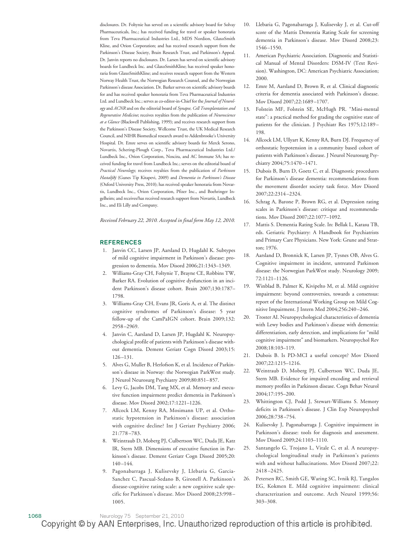disclosures. Dr. Foltynie has served on a scientific advisory board for Solvay Pharmaceuticals, Inc.; has received funding for travel or speaker honoraria from Teva Pharmaceutical Industries Ltd., MDS Nordion, GlaxoSmith Kline, and Orion Corporation; and has received research support from the Parkinson's Disease Society, Brain Research Trust, and Parkinson's Appeal. Dr. Janvin reports no disclosures. Dr. Larsen has served on scientific advisory boards for Lundbeck Inc. and GlaxoSmithKline; has received speaker honoraria from GlaxoSmithKline; and receives research support from the Western Norway Health Trust, the Norwegian Research Counsel, and the Norwegian Parkinson's disease Association. Dr. Barker serves on scientific advisory boards for and has received speaker honoraria from Teva Pharmaceutical Industries Ltd. and Lundbeck Inc.; serves as co-editor-in-Chief for the*Journal of Neurology* and *ACNR* and on the editorial board of *Synapse, Cell Transplantation and Regenerative Medicine*; receives royalties from the publication of *Neuroscience at a Glance* (Blackwell Publishing, 1999); and receives research support from the Parkinson's Disease Society, Wellcome Trust, the UK Medical Research Council, and NIHR Biomedical research award to Addenbrooke's University Hospital. Dr. Emre serves on scientific advisory boards for Merck Serono, Novartis, Schering-Plough Corp., Teva Pharmaceutical Industries Ltd./ Lundbeck Inc., Orion Corporation, Noscira, and AC Immune SA; has received funding for travel from Lundbeck Inc.; serves on the editorial board of *Practical Neurology*; receives royalties from the publication of *Parkinson Hastaly´ðy´* (Gunes Tip Kitapevi, 2009) and *Dementia in Parkinson's Disease* (Oxford University Press, 2010); has received speaker honoraria from Novartis, Lundbeck Inc., Orion Corporation, Pfizer Inc., and Boehringer Ingelheim; and receives/has received research support from Novartis, Lundbeck Inc., and Eli Lilly and Company.

*Received February 22, 2010. Accepted in final form May 12, 2010.*

#### **REFERENCES**

- 1. Janvin CC, Larsen JP, Aarsland D, Hugdahl K. Subtypes of mild cognitive impairment in Parkinson's disease: progression to dementia. Mov Disord 2006;21:1343–1349.
- 2. Williams-Gray CH, Foltynie T, Brayne CE, Robbins TW, Barker RA. Evolution of cognitive dysfunction in an incident Parkinson's disease cohort. Brain 2007;130:1787– 1798.
- 3. Williams-Gray CH, Evans JR, Goris A, et al. The distinct cognitive syndromes of Parkinson's disease: 5 year follow-up of the CamPaIGN cohort. Brain 2009;132: 2958 –2969.
- 4. Janvin C, Aarsland D, Larsen JP, Hugdahl K. Neuropsychological profile of patients with Parkinson's disease without dementia. Dement Geriatr Cogn Disord 2003;15: 126 –131.
- 5. Alves G, Muller B, Herlofson K, et al. Incidence of Parkinson's disease in Norway: the Norwegian ParkWest study. J Neurol Neurosurg Psychiatry 2009;80:851– 857.
- 6. Levy G, Jacobs DM, Tang MX, et al. Memory and executive function impairment predict dementia in Parkinson's disease. Mov Disord 2002;17:1221–1226.
- 7. Allcock LM, Kenny RA, Mosimann UP, et al. Orthostatic hypotension in Parkinson's disease: association with cognitive decline? Int J Geriatr Psychiatry 2006; 21:778 –783.
- 8. Weintraub D, Moberg PJ, Culbertson WC, Duda JE, Katz IR, Stern MB. Dimensions of executive function in Parkinson's disease. Dement Geriatr Cogn Disord 2005;20: 140 –144.
- 9. Pagonabarraga J, Kulisevsky J, Llebaria G, Garcia-Sanchez C, Pascual-Sedano B, Gironell A. Parkinson's disease-cognitive rating scale: a new cognitive scale specific for Parkinson's disease. Mov Disord 2008;23:998 – 1005.
- 10. Llebaria G, Pagonabarraga J, Kulisevsky J, et al. Cut-off score of the Mattis Dementia Rating Scale for screening dementia in Parkinson's disease. Mov Disord 2008;23: 1546 –1550.
- 11. American Psychiatric Association. Diagnostic and Statistical Manual of Mental Disorders: DSM-IV (Text Revision). Washington, DC: American Psychiatric Association; 2000.
- 12. Emre M, Aarsland D, Brown R, et al. Clinical diagnostic criteria for dementia associated with Parkinson's disease. Mov Disord 2007;22:1689 –1707.
- 13. Folstein MF, Folstein SE, McHugh PR. "Mini-mental state": a practical method for grading the cognitive state of patients for the clinician. J Psychiatr Res 1975;12:189 – 198.
- 14. Allcock LM, Ullyart K, Kenny RA, Burn DJ. Frequency of orthostatic hypotension in a community based cohort of patients with Parkinson's disease. J Neurol Neurosurg Psychiatry 2004;75:1470-1471.
- 15. Dubois B, Burn D, Goetz C, et al. Diagnostic procedures for Parkinson's disease dementia: recommendations from the movement disorder society task force. Mov Disord 2007;22:2314 –2324.
- 16. Schrag A, Barone P, Brown RG, et al. Depression rating scales in Parkinson's disease: critique and recommendations. Mov Disord 2007;22:1077–1092.
- 17. Mattis S. Dementia Rating Scale. In: Bellak L, Karasu TB, eds. Geriatric Psychiatry: A Handbook for Psychiatrists and Primary Care Physicians. New York: Grune and Stratton; 1976.
- 18. Aarsland D, Bronnick K, Larsen JP, Tysnes OB, Alves G. Cognitive impairment in incident, untreated Parkinson disease: the Norwegian ParkWest study. Neurology 2009; 72:1121–1126.
- 19. Winblad B, Palmer K, Kivipelto M, et al. Mild cognitive impairment: beyond controversies, towards a consensus: report of the International Working Group on Mild Cognitive Impairment. J Intern Med 2004;256:240 –246.
- 20. Troster AI. Neuropsychological characteristics of dementia with Lewy bodies and Parkinson's disease with dementia: differentiation, early detection, and implications for "mild cognitive impairment" and biomarkers. Neuropsychol Rev 2008;18:103–119.
- 21. Dubois B. Is PD-MCI a useful concept? Mov Disord 2007;22:1215–1216.
- 22. Weintraub D, Moberg PJ, Culbertson WC, Duda JE, Stern MB. Evidence for impaired encoding and retrieval memory profiles in Parkinson disease. Cogn Behav Neurol 2004;17:195–200.
- 23. Whittington CJ, Podd J, Stewart-Williams S. Memory deficits in Parkinson's disease. J Clin Exp Neuropsychol 2006;28:738 –754.
- 24. Kulisevsky J, Pagonabarraga J. Cognitive impairment in Parkinson's disease: tools for diagnosis and assessment. Mov Disord 2009;24:1103–1110.
- 25. Santangelo G, Trojano L, Vitale C, et al. A neuropsychological longitudinal study in Parkinson's patients with and without hallucinations. Mov Disord 2007;22: 2418 –2425.
- 26. Petersen RC, Smith GE, Waring SC, Ivnik RJ, Tangalos EG, Kokmen E. Mild cognitive impairment: clinical characterization and outcome. Arch Neurol 1999;56: 303–308.

1068 Neurology 75 September 21, 2010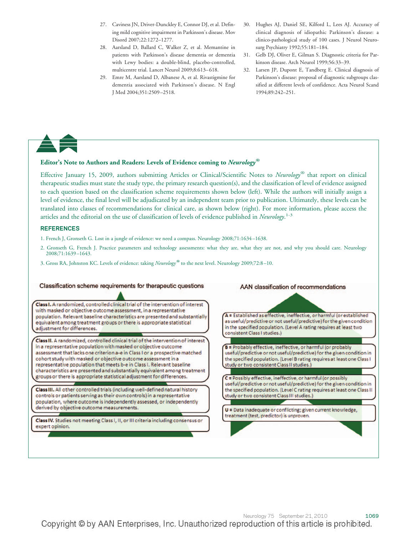- 27. Caviness JN, Driver-Dunckley E, Connor DJ, et al. Defining mild cognitive impairment in Parkinson's disease. Mov Disord 2007;22:1272–1277.
- 28. Aarsland D, Ballard C, Walker Z, et al. Memantine in patients with Parkinson's disease dementia or dementia with Lewy bodies: a double-blind, placebo-controlled, multicentre trial. Lancet Neurol 2009;8:613– 618.
- 29. Emre M, Aarsland D, Albanese A, et al. Rivastigmine for dementia associated with Parkinson's disease. N Engl J Med 2004;351:2509 –2518.
- 30. Hughes AJ, Daniel SE, Kilford L, Lees AJ. Accuracy of clinical diagnosis of idiopathic Parkinson's disease: a clinico-pathological study of 100 cases. J Neurol Neurosurg Psychiatry 1992;55:181–184.
- 31. Gelb DJ, Oliver E, Gilman S. Diagnostic criteria for Parkinson disease. Arch Neurol 1999;56:33–39.
- 32. Larsen JP, Dupont E, Tandberg E. Clinical diagnosis of Parkinson's disease: proposal of diagnostic subgroups classified at different levels of confidence. Acta Neurol Scand 1994;89:242–251.

# **Editor's Note to Authors and Readers: Levels of Evidence coming to** *Neurology®*

Effective January 15, 2009, authors submitting Articles or Clinical/Scientific Notes to *Neurology®* that report on clinical therapeutic studies must state the study type, the primary research question(s), and the classification of level of evidence assigned to each question based on the classification scheme requirements shown below (left). While the authors will initially assign a level of evidence, the final level will be adjudicated by an independent team prior to publication. Ultimately, these levels can be translated into classes of recommendations for clinical care, as shown below (right). For more information, please access the articles and the editorial on the use of classification of levels of evidence published in *Neurology*. 1-3

# **REFERENCES**

- 1. French J, Gronseth G. Lost in a jungle of evidence: we need a compass. Neurology 2008;71:1634 –1638.
- 2. Gronseth G, French J. Practice parameters and technology assessments: what they are, what they are not, and why you should care. Neurology 2008;71:1639 –1643.
- 3. Gross RA, Johnston KC. Levels of evidence: taking *Neurolo*gy*®* to the next level. Neurology 2009;72:8 –10.

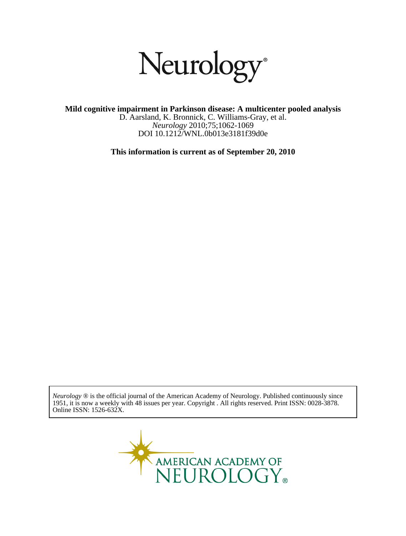

DOI 10.1212/WNL.0b013e3181f39d0e *Neurology* 2010;75;1062-1069 D. Aarsland, K. Bronnick, C. Williams-Gray, et al. **Mild cognitive impairment in Parkinson disease: A multicenter pooled analysis**

**This information is current as of September 20, 2010**

Online ISSN: 1526-632X. 1951, it is now a weekly with 48 issues per year. Copyright . All rights reserved. Print ISSN: 0028-3878. *Neurology* ® is the official journal of the American Academy of Neurology. Published continuously since